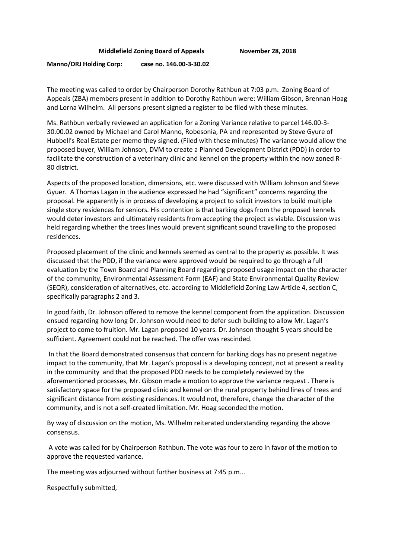## **Middlefield Zoning Board of Appeals November 28, 2018**

**Manno/DRJ Holding Corp: case no. 146.00-3-30.02** 

The meeting was called to order by Chairperson Dorothy Rathbun at 7:03 p.m. Zoning Board of Appeals (ZBA) members present in addition to Dorothy Rathbun were: William Gibson, Brennan Hoag and Lorna Wilhelm. All persons present signed a register to be filed with these minutes.

Ms. Rathbun verbally reviewed an application for a Zoning Variance relative to parcel 146.00-3- 30.00.02 owned by Michael and Carol Manno, Robesonia, PA and represented by Steve Gyure of Hubbell's Real Estate per memo they signed. (Filed with these minutes) The variance would allow the proposed buyer, William Johnson, DVM to create a Planned Development District (PDD) in order to facilitate the construction of a veterinary clinic and kennel on the property within the now zoned R-80 district.

Aspects of the proposed location, dimensions, etc. were discussed with William Johnson and Steve Gyuer. A Thomas Lagan in the audience expressed he had "significant" concerns regarding the proposal. He apparently is in process of developing a project to solicit investors to build multiple single story residences for seniors. His contention is that barking dogs from the proposed kennels would deter investors and ultimately residents from accepting the project as viable. Discussion was held regarding whether the trees lines would prevent significant sound travelling to the proposed residences.

Proposed placement of the clinic and kennels seemed as central to the property as possible. It was discussed that the PDD, if the variance were approved would be required to go through a full evaluation by the Town Board and Planning Board regarding proposed usage impact on the character of the community, Environmental Assessment Form (EAF) and State Environmental Quality Review (SEQR), consideration of alternatives, etc. according to Middlefield Zoning Law Article 4, section C, specifically paragraphs 2 and 3.

In good faith, Dr. Johnson offered to remove the kennel component from the application. Discussion ensued regarding how long Dr. Johnson would need to defer such building to allow Mr. Lagan's project to come to fruition. Mr. Lagan proposed 10 years. Dr. Johnson thought 5 years should be sufficient. Agreement could not be reached. The offer was rescinded.

 In that the Board demonstrated consensus that concern for barking dogs has no present negative impact to the community, that Mr. Lagan's proposal is a developing concept, not at present a reality in the community and that the proposed PDD needs to be completely reviewed by the aforementioned processes, Mr. Gibson made a motion to approve the variance request . There is satisfactory space for the proposed clinic and kennel on the rural property behind lines of trees and significant distance from existing residences. It would not, therefore, change the character of the community, and is not a self-created limitation. Mr. Hoag seconded the motion.

By way of discussion on the motion, Ms. Wilhelm reiterated understanding regarding the above consensus.

 A vote was called for by Chairperson Rathbun. The vote was four to zero in favor of the motion to approve the requested variance.

The meeting was adjourned without further business at 7:45 p.m...

Respectfully submitted,